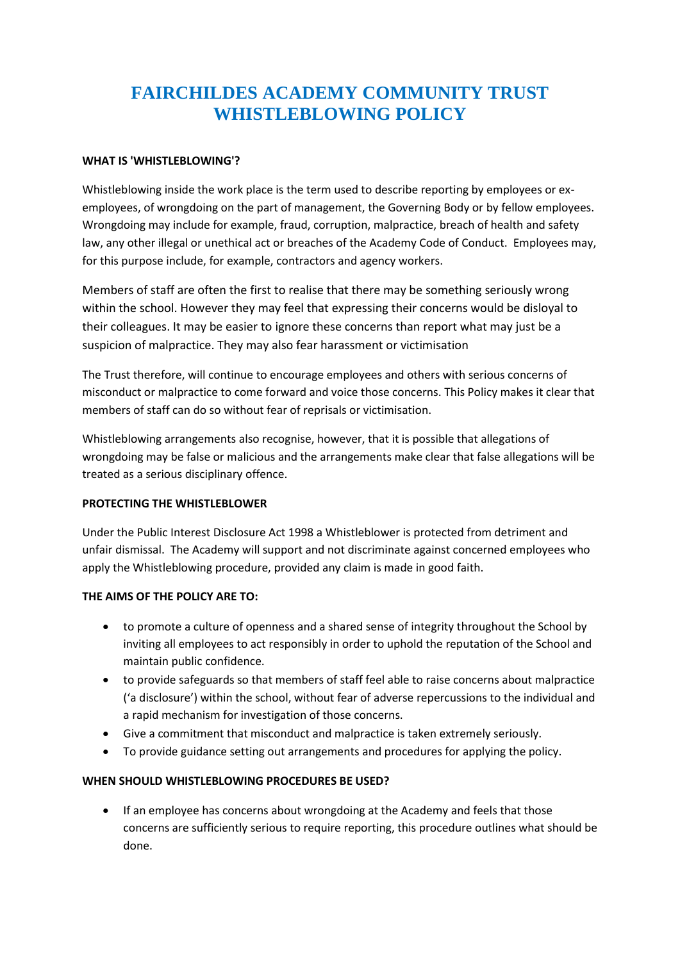# **FAIRCHILDES ACADEMY COMMUNITY TRUST WHISTLEBLOWING POLICY**

#### **WHAT IS 'WHISTLEBLOWING'?**

Whistleblowing inside the work place is the term used to describe reporting by employees or exemployees, of wrongdoing on the part of management, the Governing Body or by fellow employees. Wrongdoing may include for example, fraud, corruption, malpractice, breach of health and safety law, any other illegal or unethical act or breaches of the Academy Code of Conduct. Employees may, for this purpose include, for example, contractors and agency workers.

Members of staff are often the first to realise that there may be something seriously wrong within the school. However they may feel that expressing their concerns would be disloyal to their colleagues. It may be easier to ignore these concerns than report what may just be a suspicion of malpractice. They may also fear harassment or victimisation

The Trust therefore, will continue to encourage employees and others with serious concerns of misconduct or malpractice to come forward and voice those concerns. This Policy makes it clear that members of staff can do so without fear of reprisals or victimisation.

Whistleblowing arrangements also recognise, however, that it is possible that allegations of wrongdoing may be false or malicious and the arrangements make clear that false allegations will be treated as a serious disciplinary offence.

## **PROTECTING THE WHISTLEBLOWER**

Under the Public Interest Disclosure Act 1998 a Whistleblower is protected from detriment and unfair dismissal. The Academy will support and not discriminate against concerned employees who apply the Whistleblowing procedure, provided any claim is made in good faith.

## **THE AIMS OF THE POLICY ARE TO:**

- to promote a culture of openness and a shared sense of integrity throughout the School by inviting all employees to act responsibly in order to uphold the reputation of the School and maintain public confidence.
- to provide safeguards so that members of staff feel able to raise concerns about malpractice ('a disclosure') within the school, without fear of adverse repercussions to the individual and a rapid mechanism for investigation of those concerns.
- Give a commitment that misconduct and malpractice is taken extremely seriously.
- To provide guidance setting out arrangements and procedures for applying the policy.

## **WHEN SHOULD WHISTLEBLOWING PROCEDURES BE USED?**

 If an employee has concerns about wrongdoing at the Academy and feels that those concerns are sufficiently serious to require reporting, this procedure outlines what should be done.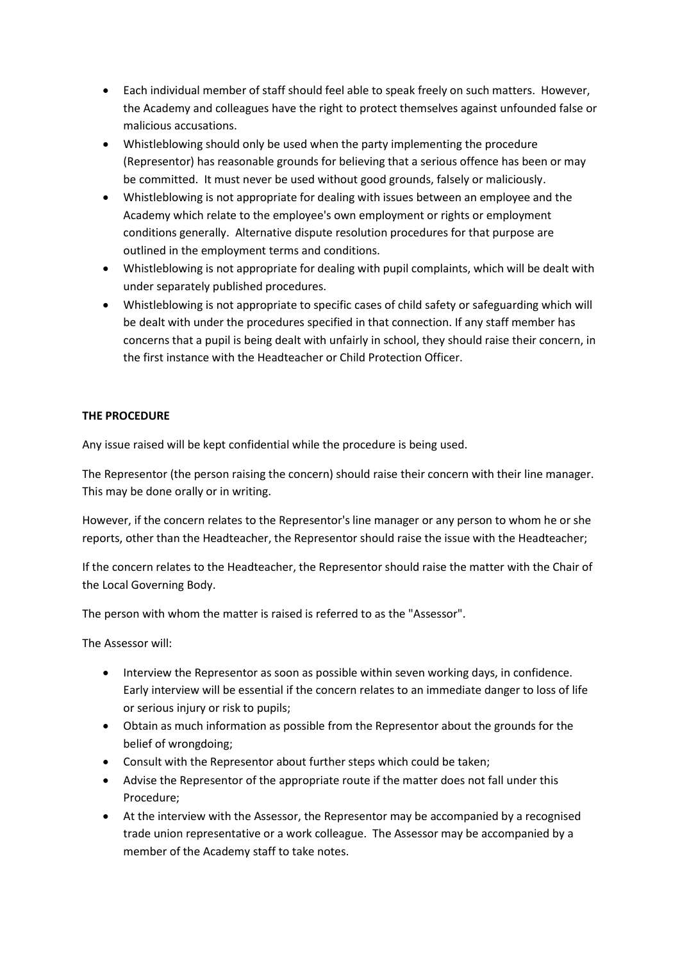- Each individual member of staff should feel able to speak freely on such matters. However, the Academy and colleagues have the right to protect themselves against unfounded false or malicious accusations.
- Whistleblowing should only be used when the party implementing the procedure (Representor) has reasonable grounds for believing that a serious offence has been or may be committed. It must never be used without good grounds, falsely or maliciously.
- Whistleblowing is not appropriate for dealing with issues between an employee and the Academy which relate to the employee's own employment or rights or employment conditions generally. Alternative dispute resolution procedures for that purpose are outlined in the employment terms and conditions.
- Whistleblowing is not appropriate for dealing with pupil complaints, which will be dealt with under separately published procedures.
- Whistleblowing is not appropriate to specific cases of child safety or safeguarding which will be dealt with under the procedures specified in that connection. If any staff member has concerns that a pupil is being dealt with unfairly in school, they should raise their concern, in the first instance with the Headteacher or Child Protection Officer.

## **THE PROCEDURE**

Any issue raised will be kept confidential while the procedure is being used.

The Representor (the person raising the concern) should raise their concern with their line manager. This may be done orally or in writing.

However, if the concern relates to the Representor's line manager or any person to whom he or she reports, other than the Headteacher, the Representor should raise the issue with the Headteacher;

If the concern relates to the Headteacher, the Representor should raise the matter with the Chair of the Local Governing Body.

The person with whom the matter is raised is referred to as the "Assessor".

The Assessor will:

- Interview the Representor as soon as possible within seven working days, in confidence. Early interview will be essential if the concern relates to an immediate danger to loss of life or serious injury or risk to pupils;
- Obtain as much information as possible from the Representor about the grounds for the belief of wrongdoing;
- Consult with the Representor about further steps which could be taken;
- Advise the Representor of the appropriate route if the matter does not fall under this Procedure;
- At the interview with the Assessor, the Representor may be accompanied by a recognised trade union representative or a work colleague. The Assessor may be accompanied by a member of the Academy staff to take notes.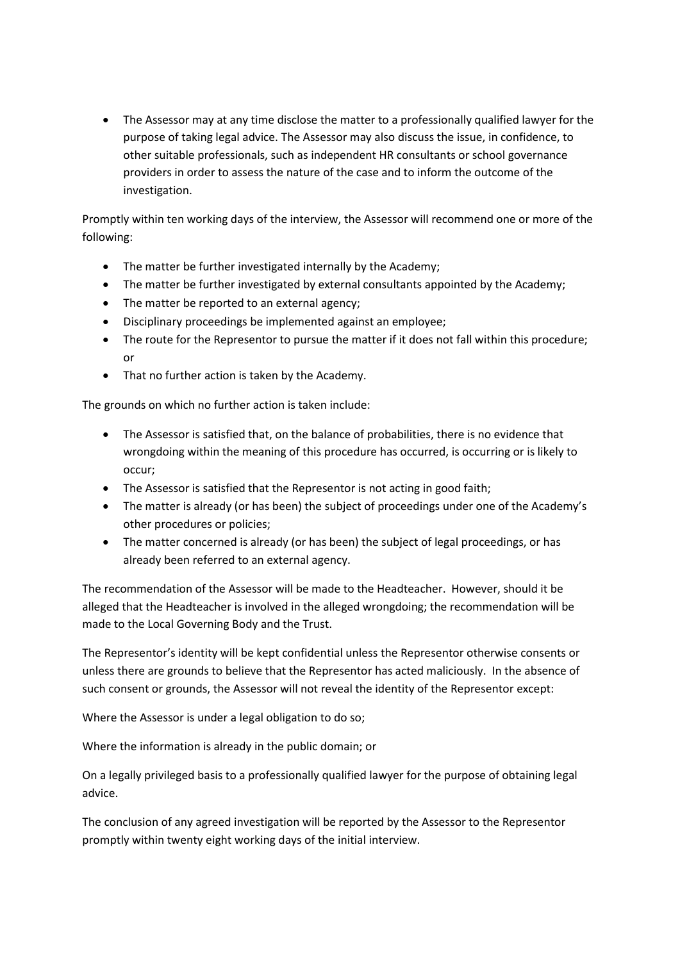The Assessor may at any time disclose the matter to a professionally qualified lawyer for the purpose of taking legal advice. The Assessor may also discuss the issue, in confidence, to other suitable professionals, such as independent HR consultants or school governance providers in order to assess the nature of the case and to inform the outcome of the investigation.

Promptly within ten working days of the interview, the Assessor will recommend one or more of the following:

- The matter be further investigated internally by the Academy;
- The matter be further investigated by external consultants appointed by the Academy;
- The matter be reported to an external agency;
- Disciplinary proceedings be implemented against an employee;
- The route for the Representor to pursue the matter if it does not fall within this procedure; or
- That no further action is taken by the Academy.

The grounds on which no further action is taken include:

- The Assessor is satisfied that, on the balance of probabilities, there is no evidence that wrongdoing within the meaning of this procedure has occurred, is occurring or is likely to occur;
- The Assessor is satisfied that the Representor is not acting in good faith;
- The matter is already (or has been) the subject of proceedings under one of the Academy's other procedures or policies;
- The matter concerned is already (or has been) the subject of legal proceedings, or has already been referred to an external agency.

The recommendation of the Assessor will be made to the Headteacher. However, should it be alleged that the Headteacher is involved in the alleged wrongdoing; the recommendation will be made to the Local Governing Body and the Trust.

The Representor's identity will be kept confidential unless the Representor otherwise consents or unless there are grounds to believe that the Representor has acted maliciously. In the absence of such consent or grounds, the Assessor will not reveal the identity of the Representor except:

Where the Assessor is under a legal obligation to do so;

Where the information is already in the public domain; or

On a legally privileged basis to a professionally qualified lawyer for the purpose of obtaining legal advice.

The conclusion of any agreed investigation will be reported by the Assessor to the Representor promptly within twenty eight working days of the initial interview.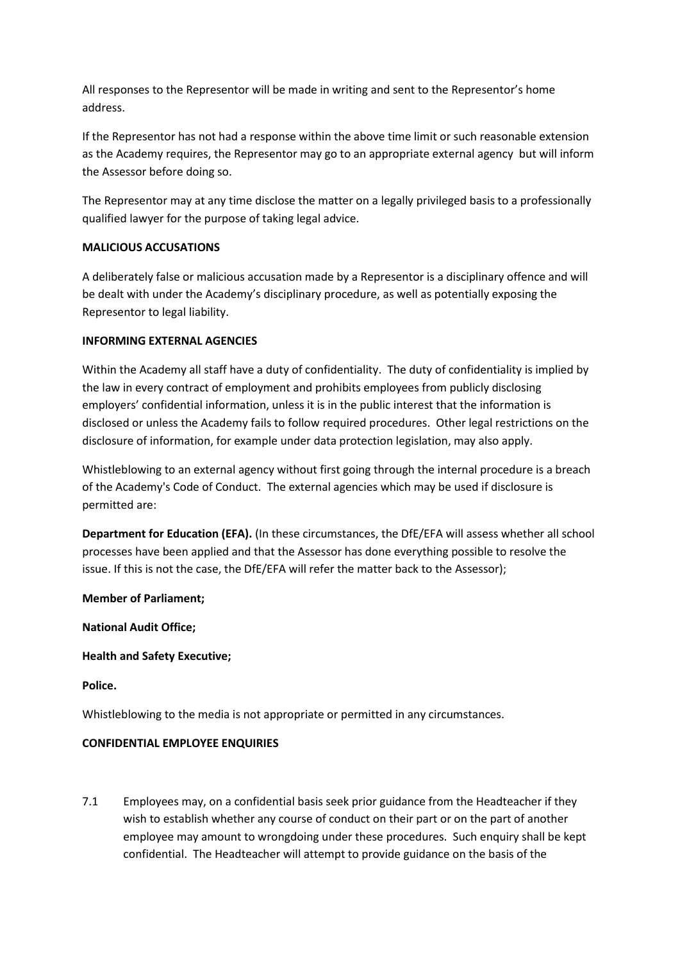All responses to the Representor will be made in writing and sent to the Representor's home address.

If the Representor has not had a response within the above time limit or such reasonable extension as the Academy requires, the Representor may go to an appropriate external agency but will inform the Assessor before doing so.

The Representor may at any time disclose the matter on a legally privileged basis to a professionally qualified lawyer for the purpose of taking legal advice.

#### **MALICIOUS ACCUSATIONS**

A deliberately false or malicious accusation made by a Representor is a disciplinary offence and will be dealt with under the Academy's disciplinary procedure, as well as potentially exposing the Representor to legal liability.

#### **INFORMING EXTERNAL AGENCIES**

Within the Academy all staff have a duty of confidentiality. The duty of confidentiality is implied by the law in every contract of employment and prohibits employees from publicly disclosing employers' confidential information, unless it is in the public interest that the information is disclosed or unless the Academy fails to follow required procedures. Other legal restrictions on the disclosure of information, for example under data protection legislation, may also apply.

Whistleblowing to an external agency without first going through the internal procedure is a breach of the Academy's Code of Conduct. The external agencies which may be used if disclosure is permitted are:

**Department for Education (EFA).** (In these circumstances, the DfE/EFA will assess whether all school processes have been applied and that the Assessor has done everything possible to resolve the issue. If this is not the case, the DfE/EFA will refer the matter back to the Assessor);

**Member of Parliament;**

**National Audit Office;**

**Health and Safety Executive;**

**Police.**

Whistleblowing to the media is not appropriate or permitted in any circumstances.

## **CONFIDENTIAL EMPLOYEE ENQUIRIES**

7.1 Employees may, on a confidential basis seek prior guidance from the Headteacher if they wish to establish whether any course of conduct on their part or on the part of another employee may amount to wrongdoing under these procedures. Such enquiry shall be kept confidential. The Headteacher will attempt to provide guidance on the basis of the